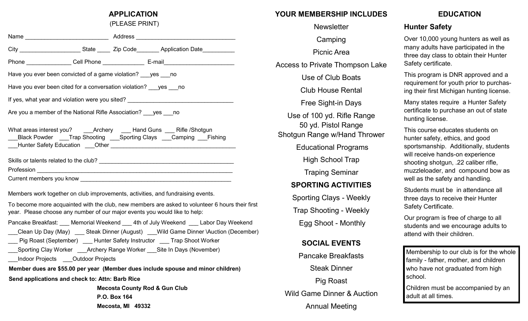#### **APPLICATION**

(PLEASE PRINT)

|                                                                                  |  |  | City ___________________________State ________ Zip Code__________ Application Date ___________ |  |
|----------------------------------------------------------------------------------|--|--|------------------------------------------------------------------------------------------------|--|
|                                                                                  |  |  | Phone _______________Cell Phone ______________________E-mail_____________________              |  |
| Have you ever been convicted of a game violation? yes no                         |  |  |                                                                                                |  |
| Have you ever been cited for a conversation violation? yes no                    |  |  |                                                                                                |  |
| If yes, what year and violation were you sited? ________________________________ |  |  |                                                                                                |  |
| Are you a member of the National Rifle Association? <u>sexall</u> no             |  |  |                                                                                                |  |
| Black Powder ____Trap Shooting ____Sporting Clays ____Camping ___Fishing         |  |  |                                                                                                |  |
|                                                                                  |  |  |                                                                                                |  |
|                                                                                  |  |  |                                                                                                |  |
|                                                                                  |  |  |                                                                                                |  |
| Members work together on club improvements, activities, and fundraising events.  |  |  |                                                                                                |  |

To become more acquainted with the club, new members are asked to volunteer 6 hours their first year. Please choose any number of our major events you would like to help:

| Pancake Breakfast: Memorial Weekend 4th of July Weekend Labor Day Weekend          |  |  |  |  |
|------------------------------------------------------------------------------------|--|--|--|--|
| Clean Up Day (May) Steak Dinner (August) Wild Game Dinner \Auction (December)      |  |  |  |  |
| Pig Roast (September)          Hunter Safety Instructor          Trap Shoot Worker |  |  |  |  |
| Sporting Clay Worker Archery Range Worker Site In Days (November)                  |  |  |  |  |
| Indoor Projects Outdoor Projects                                                   |  |  |  |  |
| Member dues are \$55.00 per year (Member dues include spouse and minor children)   |  |  |  |  |

**Send applications and check to: Attn: Barb Rice** 

 **Mecosta County Rod & Gun Club P.O. Box 164 Mecosta, MI 49332**

# **YOUR MEMBERSHIP INCLUDES**

**Newsletter Camping** Picnic Area Access to Private Thompson Lake Use of Club Boats Club House Rental Free Sight-in Days Use of 100 yd. Rifle Range 50 yd. Pistol Range Shotgun Range w/Hand Thrower Educational Programs High School Trap Traping Seminar **SPORTING ACTIVITIES** Sporting Clays - Weekly Trap Shooting - Weekly Egg Shoot - Monthly **SOCIAL EVENTS** Pancake Breakfasts Steak Dinner Pig Roast Wild Game Dinner & Auction

Annual Meeting

### **EDUCATION**

## **Hunter Safety**

Over 10,000 young hunters as well as many adults have participated in the three day class to obtain their Hunter Safety certificate.

This program is DNR approved and a requirement for youth prior to purchasing their first Michigan hunting license.

Many states require a Hunter Safety certificate to purchase an out of state hunting license.

This course educates students on hunter safety, ethics, and good sportsmanship. Additionally, students will receive hands-on experience shooting shotgun, .22 caliber rifle, muzzleloader, and compound bow as well as the safety and handling.

Students must be in attendance all three days to receive their Hunter Safety Certificate.

Our program is free of charge to all students and we encourage adults to attend with their children.

Membership to our club is for the whole family - father, mother, and children who have not graduated from high school.

Children must be accompanied by an adult at all times.